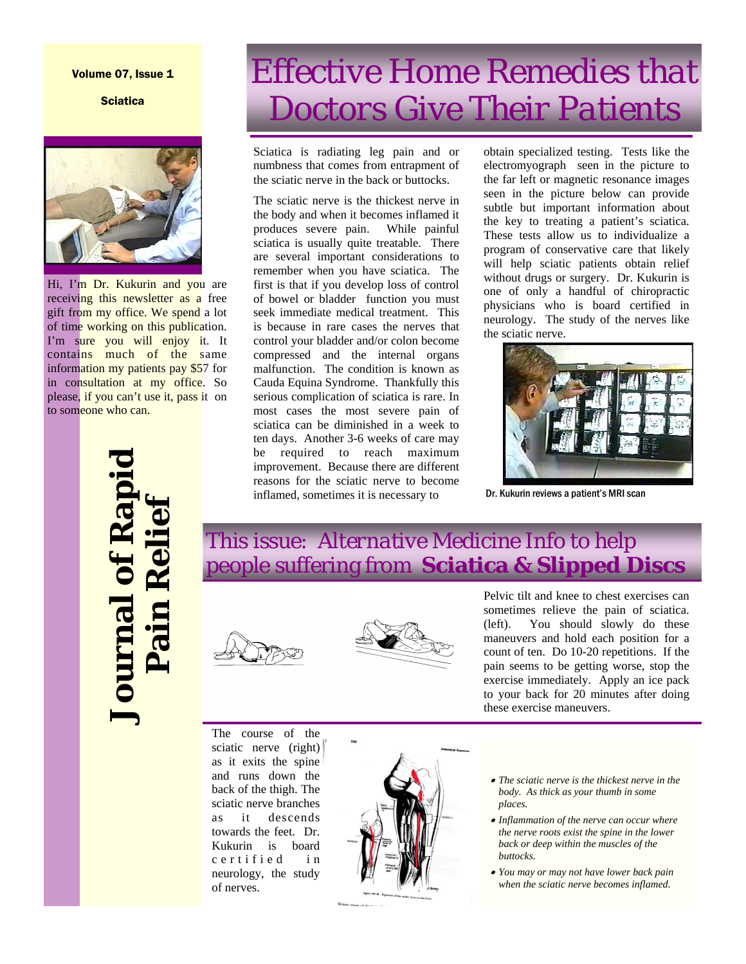#### Volume 07, Issue 1

**Sciatica** 



Hi, I'm Dr. Kukurin and you are receiving this newsletter as a free gift from my office. We spend a lot of time working on this publication. I'm sure you will enjoy it. It contains much of the same information my patients pay \$57 for in consultation at my office. So please, if you can't use it, pass it on to someone who can.

## *Effective Home Remedies that Doctors Give Their Patients*

Sciatica is radiating leg pain and or numbness that comes from entrapment of the sciatic nerve in the back or buttocks.

The sciatic nerve is the thickest nerve in the body and when it becomes inflamed it produces severe pain. While painful sciatica is usually quite treatable. There are several important considerations to remember when you have sciatica. The first is that if you develop loss of control of bowel or bladder function you must seek immediate medical treatment. This is because in rare cases the nerves that control your bladder and/or colon become compressed and the internal organs malfunction. The condition is known as Cauda Equina Syndrome. Thankfully this serious complication of sciatica is rare. In most cases the most severe pain of sciatica can be diminished in a week to ten days. Another 3-6 weeks of care may be required to reach maximum improvement. Because there are different reasons for the sciatic nerve to become inflamed, sometimes it is necessary to

obtain specialized testing. Tests like the electromyograph seen in the picture to the far left or magnetic resonance images seen in the picture below can provide subtle but important information about the key to treating a patient's sciatica. These tests allow us to individualize a program of conservative care that likely will help sciatic patients obtain relief without drugs or surgery. Dr. Kukurin is one of only a handful of chiropractic physicians who is board certified in neurology. The study of the nerves like the sciatic nerve.



Dr. Kukurin reviews a patient's MRI scan

# **Journal of Rapid**  ournal of Rapi **Pain Relief**

This issue: *Alternative Medicine Info* to help people suffering from **Sciatica & Slipped Discs**





Pelvic tilt and knee to chest exercises can sometimes relieve the pain of sciatica. (left). You should slowly do these maneuvers and hold each position for a count of ten. Do 10-20 repetitions. If the pain seems to be getting worse, stop the exercise immediately. Apply an ice pack to your back for 20 minutes after doing these exercise maneuvers.

The course of the sciatic nerve (right) as it exits the spine and runs down the back of the thigh. The sciatic nerve branches as it descends towards the feet. Dr. Kukurin is board c e r t i f i e d in neurology, the study of nerves.



- *The sciatic nerve is the thickest nerve in the body. As thick as your thumb in some places.*
- *Inflammation of the nerve can occur where the nerve roots exist the spine in the lower back or deep within the muscles of the buttocks.*
- *You may or may not have lower back pain when the sciatic nerve becomes inflamed.*